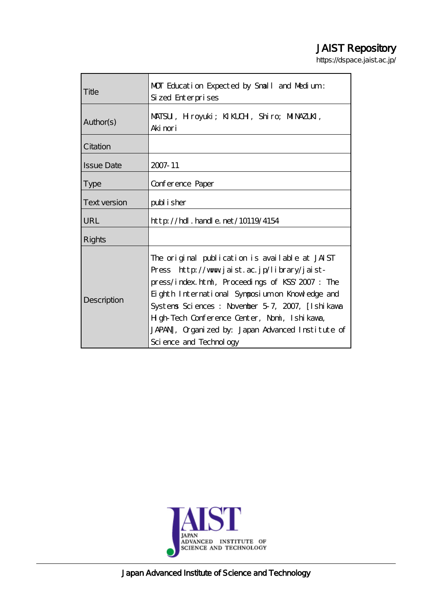# JAIST Repository

https://dspace.jaist.ac.jp/

| Title             | MOT Education Expected by Small and Medium:<br>Sized Enterprises                                                                                                                                                                                                                                                                                                                       |
|-------------------|----------------------------------------------------------------------------------------------------------------------------------------------------------------------------------------------------------------------------------------------------------------------------------------------------------------------------------------------------------------------------------------|
| Author(s)         | MATSU, Hroyuki; KIKLUH, Shiro; MINAZUKI,<br>Aki nori                                                                                                                                                                                                                                                                                                                                   |
| Citation          |                                                                                                                                                                                                                                                                                                                                                                                        |
| <b>Issue Date</b> | 2007-11                                                                                                                                                                                                                                                                                                                                                                                |
| <b>Type</b>       | Conference Paper                                                                                                                                                                                                                                                                                                                                                                       |
| Text version      | publisher                                                                                                                                                                                                                                                                                                                                                                              |
| URL               | $http$ // $rdl$ . handle. net/10119/4154                                                                                                                                                                                                                                                                                                                                               |
| Rights            |                                                                                                                                                                                                                                                                                                                                                                                        |
| Description       | The original publication is available at JAIST<br>Press http://www.jaist.ac.jp/library/jaist-<br>press/index.html, Proceedings of KSS' 2007: The<br>Eighth International Symposium on Knowledge and<br>Systems Sciences : November 5-7, 2007, [Ishikawa<br>H gh-Tech Conference Center, Nomi, Ishi kawa,<br>JAPAN, Organized by: Japan Advanced Institute of<br>Science and Technology |



Japan Advanced Institute of Science and Technology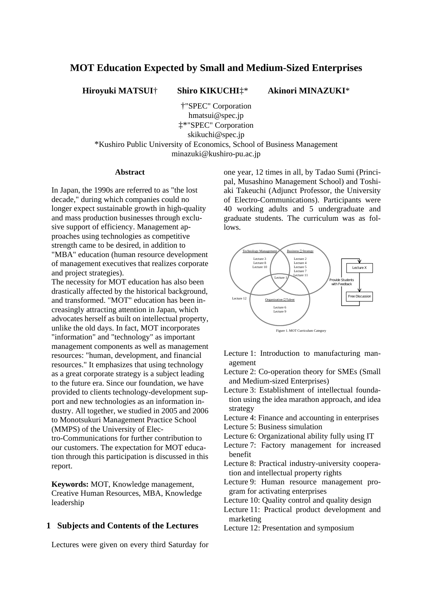## **MOT Education Expected by Small and Medium-Sized Enterprises**

**Hiroyuki MATSUI**† **Shiro KIKUCHI**‡\* **Akinori MINAZUKI**\*

†"SPEC" Corporation hmatsui@spec.jp ‡\*"SPEC" Corporation skikuchi@spec.jp

\*Kushiro Public University of Economics, School of Business Management minazuki@kushiro-pu.ac.jp

#### **Abstract**

In Japan, the 1990s are referred to as "the lost decade," during which companies could no longer expect sustainable growth in high-quality and mass production businesses through exclusive support of efficiency. Management approaches using technologies as competitive strength came to be desired, in addition to "MBA" education (human resource development of management executives that realizes corporate and project strategies).

The necessity for MOT education has also been drastically affected by the historical background, and transformed. "MOT" education has been increasingly attracting attention in Japan, which advocates herself as built on intellectual property, unlike the old days. In fact, MOT incorporates "information" and "technology" as important management components as well as management resources: "human, development, and financial resources." It emphasizes that using technology as a great corporate strategy is a subject leading to the future era. Since our foundation, we have provided to clients technology-development support and new technologies as an information industry. All together, we studied in 2005 and 2006 to Monotsukuri Management Practice School (MMPS) of the University of Electro-Communications for further contribution to our customers. The expectation for MOT education through this participation is discussed in this report.

**Keywords:** MOT, Knowledge management, Creative Human Resources, MBA, Knowledge leadership

#### **1 Subjects and Contents of the Lectures**

Lectures were given on every third Saturday for

one year, 12 times in all, by Tadao Sumi (Principal, Musashino Management School) and Toshiaki Takeuchi (Adjunct Professor, the University of Electro-Communications). Participants were 40 working adults and 5 undergraduate and graduate students. The curriculum was as follows.



- Lecture 1: Introduction to manufacturing management
- Lecture 2: Co-operation theory for SMEs (Small and Medium-sized Enterprises)
- Lecture 3: Establishment of intellectual foundation using the idea marathon approach, and idea strategy
- Lecture 4: Finance and accounting in enterprises
- Lecture 5: Business simulation
- Lecture 6: Organizational ability fully using IT
- Lecture 7: Factory management for increased benefit
- Lecture 8: Practical industry-university cooperation and intellectual property rights
- Lecture 9: Human resource management program for activating enterprises
- Lecture 10: Quality control and quality design
- Lecture 11: Practical product development and marketing
- Lecture 12: Presentation and symposium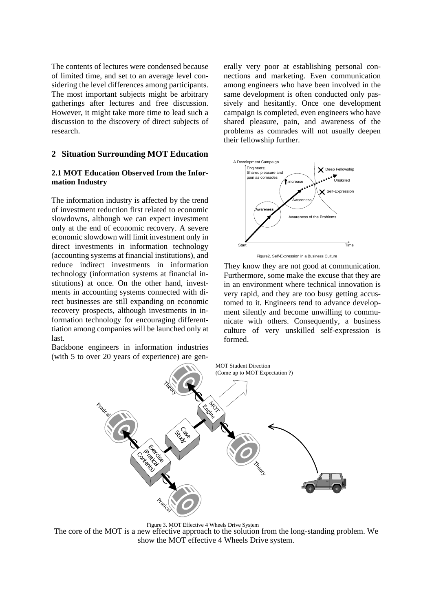The contents of lectures were condensed because of limited time, and set to an average level considering the level differences among participants. The most important subjects might be arbitrary gatherings after lectures and free discussion. However, it might take more time to lead such a discussion to the discovery of direct subjects of research.

#### **2 Situation Surrounding MOT Education**

#### **2.1 MOT Education Observed from the Information Industry**

The information industry is affected by the trend of investment reduction first related to economic slowdowns, although we can expect investment only at the end of economic recovery. A severe economic slowdown will limit investment only in direct investments in information technology (accounting systems at financial institutions), and reduce indirect investments in information technology (information systems at financial institutions) at once. On the other hand, investments in accounting systems connected with direct businesses are still expanding on economic recovery prospects, although investments in information technology for encouraging differenttiation among companies will be launched only at last.

Backbone engineers in information industries (with 5 to over 20 years of experience) are gen-

erally very poor at establishing personal connections and marketing. Even communication among engineers who have been involved in the same development is often conducted only passively and hesitantly. Once one development campaign is completed, even engineers who have shared pleasure, pain, and awareness of the problems as comrades will not usually deepen their fellowship further.



Figure2. Self-Expression in a Business Culture

They know they are not good at communication. Furthermore, some make the excuse that they are in an environment where technical innovation is very rapid, and they are too busy getting accustomed to it. Engineers tend to advance development silently and become unwilling to communicate with others. Consequently, a business culture of very unskilled self-expression is formed.



Figure 3. MOT Effective 4 Wheels Drive System

The core of the MOT is a new effective approach to the solution from the long-standing problem. We show the MOT effective 4 Wheels Drive system.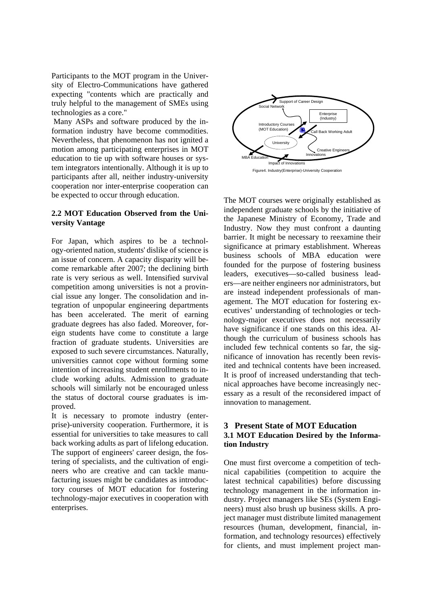Participants to the MOT program in the University of Electro-Communications have gathered expecting "contents which are practically and truly helpful to the management of SMEs using technologies as a core."

 Many ASPs and software produced by the information industry have become commodities. Nevertheless, that phenomenon has not ignited a motion among participating enterprises in MOT education to tie up with software houses or system integrators intentionally. Although it is up to participants after all, neither industry-university cooperation nor inter-enterprise cooperation can be expected to occur through education.

## **2.2 MOT Education Observed from the University Vantage**

For Japan, which aspires to be a technology-oriented nation, students' dislike of science is an issue of concern. A capacity disparity will become remarkable after 2007; the declining birth rate is very serious as well. Intensified survival competition among universities is not a provincial issue any longer. The consolidation and integration of unpopular engineering departments has been accelerated. The merit of earning graduate degrees has also faded. Moreover, foreign students have come to constitute a large fraction of graduate students. Universities are exposed to such severe circumstances. Naturally, universities cannot cope without forming some intention of increasing student enrollments to include working adults. Admission to graduate schools will similarly not be encouraged unless the status of doctoral course graduates is improved.

It is necessary to promote industry (enterprise)-university cooperation. Furthermore, it is essential for universities to take measures to call back working adults as part of lifelong education. The support of engineers' career design, the fostering of specialists, and the cultivation of engineers who are creative and can tackle manufacturing issues might be candidates as introductory courses of MOT education for fostering technology-major executives in cooperation with enterprises.



The MOT courses were originally established as independent graduate schools by the initiative of the Japanese Ministry of Economy, Trade and Industry. Now they must confront a daunting barrier. It might be necessary to reexamine their significance at primary establishment. Whereas business schools of MBA education were founded for the purpose of fostering business leaders, executives––so-called business leaders––are neither engineers nor administrators, but are instead independent professionals of management. The MOT education for fostering executives' understanding of technologies or technology-major executives does not necessarily have significance if one stands on this idea. Although the curriculum of business schools has included few technical contents so far, the significance of innovation has recently been revisited and technical contents have been increased. It is proof of increased understanding that technical approaches have become increasingly necessary as a result of the reconsidered impact of innovation to management.

## **3 Present State of MOT Education 3.1 MOT Education Desired by the Information Industry**

One must first overcome a competition of technical capabilities (competition to acquire the latest technical capabilities) before discussing technology management in the information industry. Project managers like SEs (System Engineers) must also brush up business skills. A project manager must distribute limited management resources (human, development, financial, information, and technology resources) effectively for clients, and must implement project man-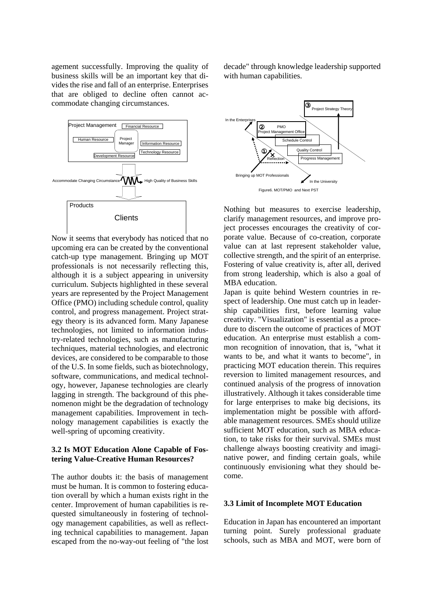agement successfully. Improving the quality of business skills will be an important key that divides the rise and fall of an enterprise. Enterprises that are obliged to decline often cannot accommodate changing circumstances.



Now it seems that everybody has noticed that no upcoming era can be created by the conventional catch-up type management. Bringing up MOT professionals is not necessarily reflecting this, although it is a subject appearing in university curriculum. Subjects highlighted in these several years are represented by the Project Management Office (PMO) including schedule control, quality control, and progress management. Project strategy theory is its advanced form. Many Japanese technologies, not limited to information industry-related technologies, such as manufacturing techniques, material technologies, and electronic devices, are considered to be comparable to those of the U.S. In some fields, such as biotechnology, software, communications, and medical technology, however, Japanese technologies are clearly lagging in strength. The background of this phenomenon might be the degradation of technology management capabilities. Improvement in technology management capabilities is exactly the well-spring of upcoming creativity.

## **3.2 Is MOT Education Alone Capable of Fostering Value-Creative Human Resources?**

The author doubts it: the basis of management must be human. It is common to fostering education overall by which a human exists right in the center. Improvement of human capabilities is requested simultaneously in fostering of technology management capabilities, as well as reflecting technical capabilities to management. Japan escaped from the no-way-out feeling of "the lost decade" through knowledge leadership supported with human capabilities.



Nothing but measures to exercise leadership, clarify management resources, and improve project processes encourages the creativity of corporate value. Because of co-creation, corporate value can at last represent stakeholder value, collective strength, and the spirit of an enterprise. Fostering of value creativity is, after all, derived from strong leadership, which is also a goal of MBA education.

Japan is quite behind Western countries in respect of leadership. One must catch up in leadership capabilities first, before learning value creativity. "Visualization" is essential as a procedure to discern the outcome of practices of MOT education. An enterprise must establish a common recognition of innovation, that is, "what it wants to be, and what it wants to become", in practicing MOT education therein. This requires reversion to limited management resources, and continued analysis of the progress of innovation illustratively. Although it takes considerable time for large enterprises to make big decisions, its implementation might be possible with affordable management resources. SMEs should utilize sufficient MOT education, such as MBA education, to take risks for their survival. SMEs must challenge always boosting creativity and imaginative power, and finding certain goals, while continuously envisioning what they should become.

#### **3.3 Limit of Incomplete MOT Education**

Education in Japan has encountered an important turning point. Surely professional graduate schools, such as MBA and MOT, were born of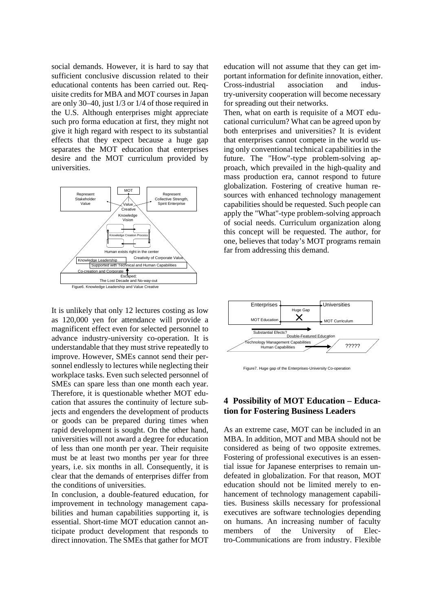social demands. However, it is hard to say that sufficient conclusive discussion related to their educational contents has been carried out. Requisite credits for MBA and MOT courses in Japan are only 30–40, just 1/3 or 1/4 of those required in the U.S. Although enterprises might appreciate such pro forma education at first, they might not give it high regard with respect to its substantial effects that they expect because a huge gap separates the MOT education that enterprises desire and the MOT curriculum provided by universities.



It is unlikely that only 12 lectures costing as low as 120,000 yen for attendance will provide a magnificent effect even for selected personnel to advance industry-university co-operation. It is understandable that they must strive repeatedly to improve. However, SMEs cannot send their personnel endlessly to lectures while neglecting their workplace tasks. Even such selected personnel of SMEs can spare less than one month each year. Therefore, it is questionable whether MOT education that assures the continuity of lecture subjects and engenders the development of products or goods can be prepared during times when rapid development is sought. On the other hand, universities will not award a degree for education of less than one month per year. Their requisite must be at least two months per year for three years, i.e. six months in all. Consequently, it is clear that the demands of enterprises differ from the conditions of universities.

In conclusion, a double-featured education, for improvement in technology management capabilities and human capabilities supporting it, is essential. Short-time MOT education cannot anticipate product development that responds to direct innovation. The SMEs that gather for MOT

education will not assume that they can get important information for definite innovation, either. Cross-industrial association and industry-university cooperation will become necessary for spreading out their networks.

Then, what on earth is requisite of a MOT educational curriculum? What can be agreed upon by both enterprises and universities? It is evident that enterprises cannot compete in the world using only conventional technical capabilities in the future. The "How"-type problem-solving approach, which prevailed in the high-quality and mass production era, cannot respond to future globalization. Fostering of creative human resources with enhanced technology management capabilities should be requested. Such people can apply the "What"-type problem-solving approach of social needs. Curriculum organization along this concept will be requested. The author, for one, believes that today's MOT programs remain far from addressing this demand.



Figure7. Huge gap of the Enterprises-University Co-operation

## **4 Possibility of MOT Education – Education for Fostering Business Leaders**

As an extreme case, MOT can be included in an MBA. In addition, MOT and MBA should not be considered as being of two opposite extremes. Fostering of professional executives is an essential issue for Japanese enterprises to remain undefeated in globalization. For that reason, MOT education should not be limited merely to enhancement of technology management capabilities. Business skills necessary for professional executives are software technologies depending on humans. An increasing number of faculty members of the University of Electro-Communications are from industry. Flexible